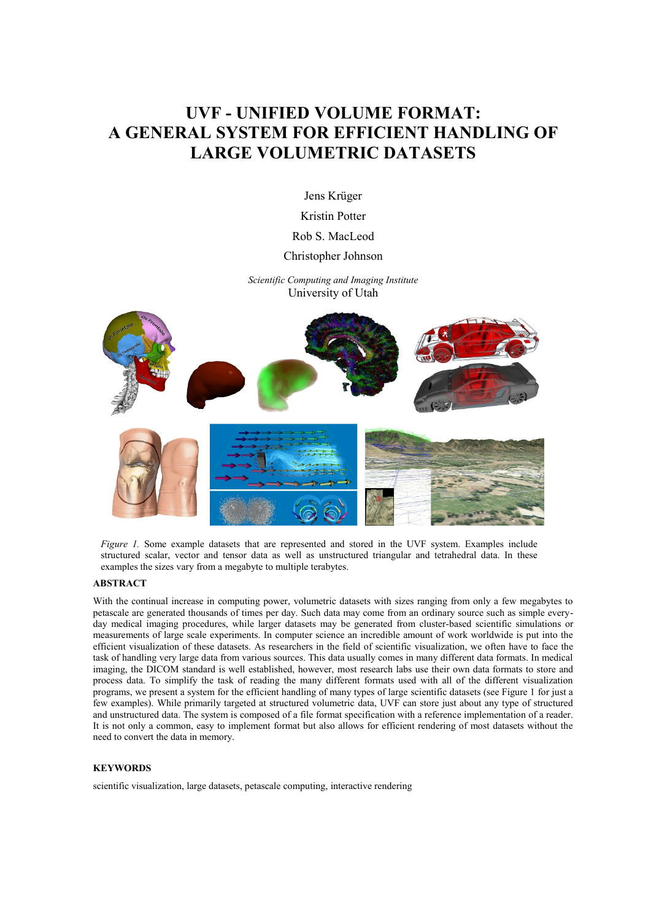# **UVF - UNIFIED VOLUME FORMAT: A GENERAL SYSTEM FOR EFFICIENT HANDLING OF LARGE VOLUMETRIC DATASETS**

Jens Krüger

Kristin Potter

Rob S. MacLeod

#### Christopher Johnson

*Scientific Computing and Imaging Institute* University of Utah



*Figure 1.* Some example datasets that are represented and stored in the UVF system. Examples include structured scalar, vector and tensor data as well as unstructured triangular and tetrahedral data. In these examples the sizes vary from a megabyte to multiple terabytes.

#### **ABSTRACT**

With the continual increase in computing power, volumetric datasets with sizes ranging from only a few megabytes to petascale are generated thousands of times per day. Such data may come from an ordinary source such as simple everyday medical imaging procedures, while larger datasets may be generated from cluster-based scientific simulations or measurements of large scale experiments. In computer science an incredible amount of work worldwide is put into the efficient visualization of these datasets. As researchers in the field of scientific visualization, we often have to face the task of handling very large data from various sources. This data usually comes in many different data formats. In medical imaging, the DICOM standard is well established, however, most research labs use their own data formats to store and process data. To simplify the task of reading the many different formats used with all of the different visualization programs, we present a system for the efficient handling of many types of large scientific datasets (see Figure 1 for just a few examples). While primarily targeted at structured volumetric data, UVF can store just about any type of structured and unstructured data. The system is composed of a file format specification with a reference implementation of a reader. It is not only a common, easy to implement format but also allows for efficient rendering of most datasets without the need to convert the data in memory.

#### **KEYWORDS**

scientific visualization, large datasets, petascale computing, interactive rendering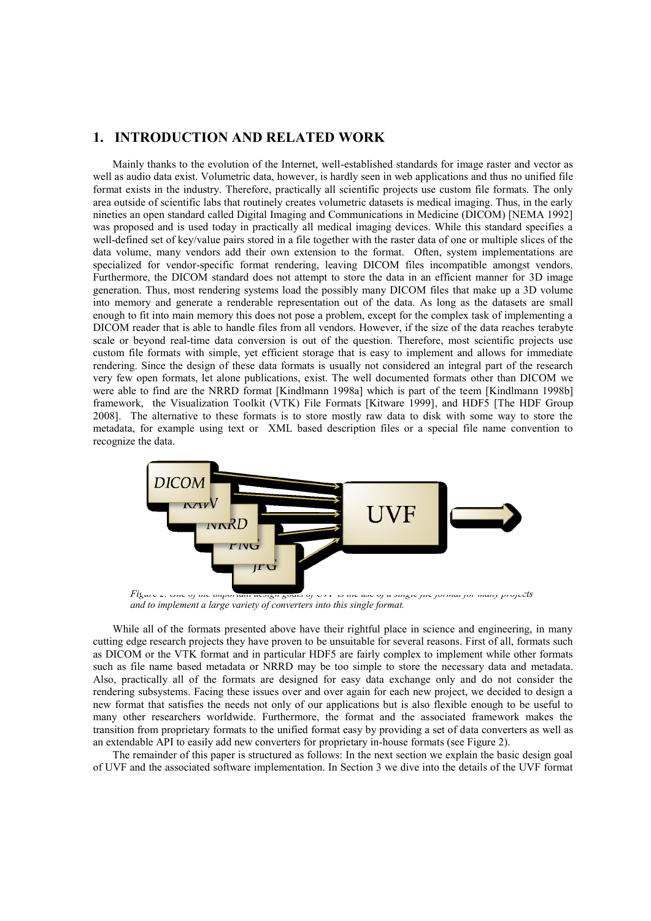#### **1. INTRODUCTION AND RELATED WORK**

Mainly thanks to the evolution of the Internet, well-established standards for image raster and vector as well as audio data exist. Volumetric data, however, is hardly seen in web applications and thus no unified file format exists in the industry. Therefore, practically all scientific projects use custom file formats. The only area outside of scientific labs that routinely creates volumetric datasets is medical imaging. Thus, in the early nineties an open standard called Digital Imaging and Communications in Medicine (DICOM) [NEMA 1992] was proposed and is used today in practically all medical imaging devices. While this standard specifies a well-defined set of key/value pairs stored in a file together with the raster data of one or multiple slices of the data volume, many vendors add their own extension to the format. Often, system implementations are specialized for vendor-specific format rendering, leaving DICOM files incompatible amongst vendors. Furthermore, the DICOM standard does not attempt to store the data in an efficient manner for 3D image generation. Thus, most rendering systems load the possibly many DICOM files that make up a 3D volume into memory and generate a renderable representation out of the data. As long as the datasets are small enough to fit into main memory this does not pose a problem, except for the complex task of implementing a DICOM reader that is able to handle files from all vendors. However, if the size of the data reaches terabyte scale or beyond real-time data conversion is out of the question. Therefore, most scientific projects use custom file formats with simple, yet efficient storage that is easy to implement and allows for immediate rendering. Since the design of these data formats is usually not considered an integral part of the research very few open formats, let alone publications, exist. The well documented formats other than DICOM we were able to find are the NRRD format [Kindlmann 1998a] which is part of the teem [Kindlmann 1998b] framework, the Visualization Toolkit (VTK) File Formats [Kitware 1999], and HDF5 [The HDF Group 2008]. The alternative to these formats is to store mostly raw data to disk with some way to store the metadata, for example using text or XML based description files or a special file name convention to recognize the data.



*Figure 2. One of the important design goals of UVF is the use of a single file format for many projects and to implement a large variety of converters into this single format.*

While all of the formats presented above have their rightful place in science and engineering, in many cutting edge research projects they have proven to be unsuitable for several reasons. First of all, formats such as DICOM or the VTK format and in particular HDF5 are fairly complex to implement while other formats such as file name based metadata or NRRD may be too simple to store the necessary data and metadata. Also, practically all of the formats are designed for easy data exchange only and do not consider the rendering subsystems. Facing these issues over and over again for each new project, we decided to design a new format that satisfies the needs not only of our applications but is also flexible enough to be useful to many other researchers worldwide. Furthermore, the format and the associated framework makes the transition from proprietary formats to the unified format easy by providing a set of data converters as well as an extendable API to easily add new converters for proprietary in-house formats (see Figure 2).

The remainder of this paper is structured as follows: In the next section we explain the basic design goal of UVF and the associated software implementation. In Section 3 we dive into the details of the UVF format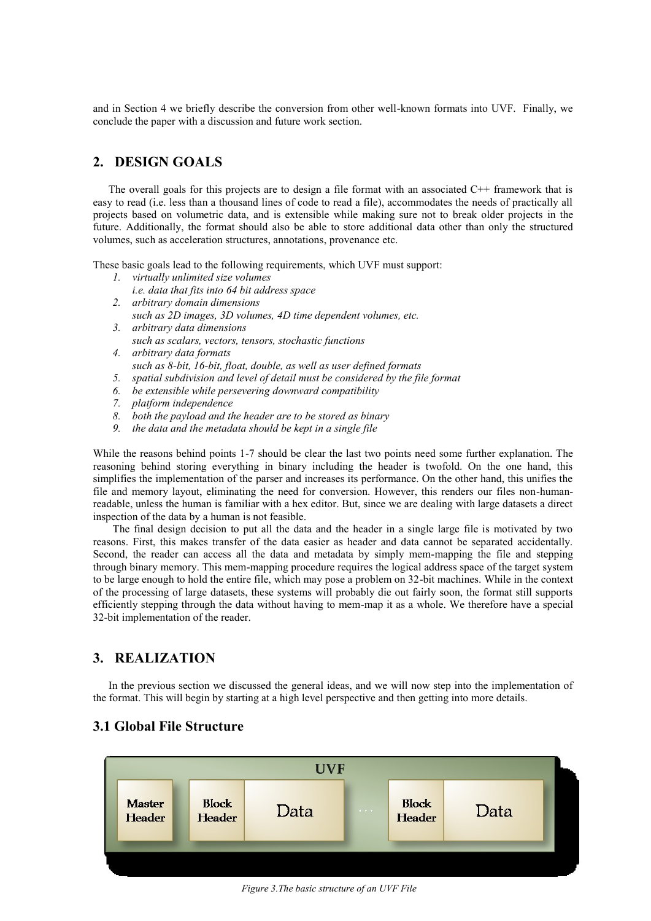and in Section 4 we briefly describe the conversion from other well-known formats into UVF. Finally, we conclude the paper with a discussion and future work section.

#### **2. DESIGN GOALS**

The overall goals for this projects are to design a file format with an associated  $C++$  framework that is easy to read (i.e. less than a thousand lines of code to read a file), accommodates the needs of practically all projects based on volumetric data, and is extensible while making sure not to break older projects in the future. Additionally, the format should also be able to store additional data other than only the structured volumes, such as acceleration structures, annotations, provenance etc.

These basic goals lead to the following requirements, which UVF must support:

- *1. virtually unlimited size volumes*
- *i.e. data that fits into 64 bit address space*
- *2. arbitrary domain dimensions such as 2D images, 3D volumes, 4D time dependent volumes, etc.*
- *3. arbitrary data dimensions such as scalars, vectors, tensors, stochastic functions*
- *4. arbitrary data formats such as 8-bit, 16-bit, float, double, as well as user defined formats*
- *5. spatial subdivision and level of detail must be considered by the file format*
- *6. be extensible while persevering downward compatibility*
- *7. platform independence*
- *8. both the payload and the header are to be stored as binary*
- *9. the data and the metadata should be kept in a single file*

While the reasons behind points 1-7 should be clear the last two points need some further explanation. The reasoning behind storing everything in binary including the header is twofold. On the one hand, this simplifies the implementation of the parser and increases its performance. On the other hand, this unifies the file and memory layout, eliminating the need for conversion. However, this renders our files non-humanreadable, unless the human is familiar with a hex editor. But, since we are dealing with large datasets a direct inspection of the data by a human is not feasible.

The final design decision to put all the data and the header in a single large file is motivated by two reasons. First, this makes transfer of the data easier as header and data cannot be separated accidentally. Second, the reader can access all the data and metadata by simply mem-mapping the file and stepping through binary memory. This mem-mapping procedure requires the logical address space of the target system to be large enough to hold the entire file, which may pose a problem on 32-bit machines. While in the context of the processing of large datasets, these systems will probably die out fairly soon, the format still supports efficiently stepping through the data without having to mem-map it as a whole. We therefore have a special 32-bit implementation of the reader.

# **3. REALIZATION**

In the previous section we discussed the general ideas, and we will now step into the implementation of the format. This will begin by starting at a high level perspective and then getting into more details.



### **3.1 Global File Structure**

*Figure 3.The basic structure of an UVF File*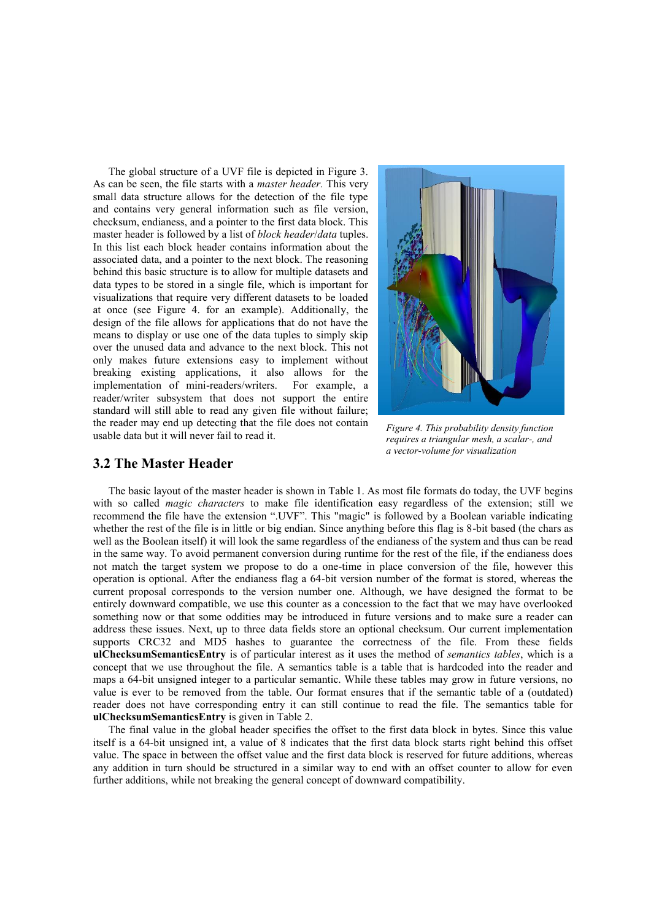The global structure of a UVF file is depicted in Figure 3. As can be seen, the file starts with a *master header.* This very small data structure allows for the detection of the file type and contains very general information such as file version, checksum, endianess, and a pointer to the first data block. This master header is followed by a list of *block header*/*data* tuples. In this list each block header contains information about the associated data, and a pointer to the next block. The reasoning behind this basic structure is to allow for multiple datasets and data types to be stored in a single file, which is important for visualizations that require very different datasets to be loaded at once (see Figure 4. for an example). Additionally, the design of the file allows for applications that do not have the means to display or use one of the data tuples to simply skip over the unused data and advance to the next block. This not only makes future extensions easy to implement without breaking existing applications, it also allows for the implementation of mini-readers/writers. For example, a reader/writer subsystem that does not support the entire standard will still able to read any given file without failure; the reader may end up detecting that the file does not contain usable data but it will never fail to read it.



*Figure 4. This probability density function requires a triangular mesh, a scalar-, and a vector-volume for visualization*

#### **3.2 The Master Header**

The basic layout of the master header is shown in Table 1. As most file formats do today, the UVF begins with so called *magic characters* to make file identification easy regardless of the extension; still we recommend the file have the extension ".UVF". This "magic" is followed by a Boolean variable indicating whether the rest of the file is in little or big endian. Since anything before this flag is 8-bit based (the chars as well as the Boolean itself) it will look the same regardless of the endianess of the system and thus can be read in the same way. To avoid permanent conversion during runtime for the rest of the file, if the endianess does not match the target system we propose to do a one-time in place conversion of the file, however this operation is optional. After the endianess flag a 64-bit version number of the format is stored, whereas the current proposal corresponds to the version number one. Although, we have designed the format to be entirely downward compatible, we use this counter as a concession to the fact that we may have overlooked something now or that some oddities may be introduced in future versions and to make sure a reader can address these issues. Next, up to three data fields store an optional checksum. Our current implementation supports CRC32 and MD5 hashes to guarantee the correctness of the file. From these fields **ulChecksumSemanticsEntry** is of particular interest as it uses the method of *semantics tables*, which is a concept that we use throughout the file. A semantics table is a table that is hardcoded into the reader and maps a 64-bit unsigned integer to a particular semantic. While these tables may grow in future versions, no value is ever to be removed from the table. Our format ensures that if the semantic table of a (outdated) reader does not have corresponding entry it can still continue to read the file. The semantics table for **ulChecksumSemanticsEntry** is given in Table 2.

The final value in the global header specifies the offset to the first data block in bytes. Since this value itself is a 64-bit unsigned int, a value of 8 indicates that the first data block starts right behind this offset value. The space in between the offset value and the first data block is reserved for future additions, whereas any addition in turn should be structured in a similar way to end with an offset counter to allow for even further additions, while not breaking the general concept of downward compatibility.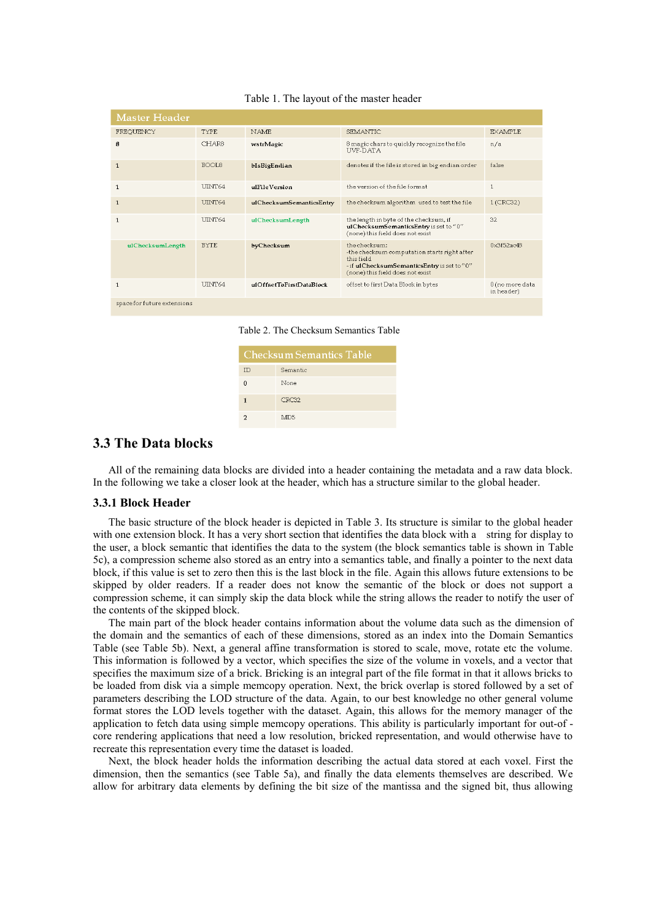| <b>Master Header</b>        |                |                          |                                                                                                                                                                |                               |
|-----------------------------|----------------|--------------------------|----------------------------------------------------------------------------------------------------------------------------------------------------------------|-------------------------------|
| FREQUENCY                   | <b>TYPE</b>    | <b>NAME</b>              | <b>SEMANTIC</b>                                                                                                                                                | <b>EXAMPLE</b>                |
| 8                           | CHAR8          | wstrMagic                | 8 magic chars to quickly recognize the file<br><b>IIVF-DATA</b>                                                                                                | n/a                           |
| $\mathbf{1}$                | BOOL8          | bIsBigEndian             | denotes if the file is stored in big endian order                                                                                                              | false                         |
| $\mathbf{1}$                | <b>ITINT64</b> | ulFileVersion            | the version of the file format                                                                                                                                 | $\mathbf{1}$                  |
| $\mathbf{1}$                | IJINT64        | ulChecksumSemanticsEntry | the checksum algorithm used to test the file                                                                                                                   | 1 (CRC32)                     |
| 1                           | <b>ITNT64</b>  | ulChecksumLength         | the length in byte of the checksum, if<br>ulChecksumSemanticsEntry is set to "0"<br>(none) this field does not exist                                           | 32                            |
| ulChecksumLength            | <b>BYTE</b>    | byChecksum               | the checksum:<br>-the checksum computation starts right after<br>this field<br>- if ulChecksumSemanticsEntry is set to "0"<br>(none) this field does not exist | 0x3f52ac48                    |
| $\mathbf{1}$                | <b>ITINT64</b> | ulOffsetToFirstDataBlock | offset to first Data Block in bytes                                                                                                                            | 0 (no more data<br>in header) |
| space for future extensions |                |                          |                                                                                                                                                                |                               |

Table 1. The layout of the master header



| <b>Checksum Semantics Table</b> |                 |  |
|---------------------------------|-----------------|--|
| ID                              | Semantic        |  |
| n                               | None            |  |
| 1                               | CRC32           |  |
|                                 | MD <sub>5</sub> |  |

### **3.3 The Data blocks**

All of the remaining data blocks are divided into a header containing the metadata and a raw data block. In the following we take a closer look at the header, which has a structure similar to the global header.

#### **3.3.1 Block Header**

The basic structure of the block header is depicted in Table 3. Its structure is similar to the global header with one extension block. It has a very short section that identifies the data block with a string for display to the user, a block semantic that identifies the data to the system (the block semantics table is shown in Table 5c), a compression scheme also stored as an entry into a semantics table, and finally a pointer to the next data block, if this value is set to zero then this is the last block in the file. Again this allows future extensions to be skipped by older readers. If a reader does not know the semantic of the block or does not support a compression scheme, it can simply skip the data block while the string allows the reader to notify the user of the contents of the skipped block.

The main part of the block header contains information about the volume data such as the dimension of the domain and the semantics of each of these dimensions, stored as an index into the Domain Semantics Table (see Table 5b). Next, a general affine transformation is stored to scale, move, rotate etc the volume. This information is followed by a vector, which specifies the size of the volume in voxels, and a vector that specifies the maximum size of a brick. Bricking is an integral part of the file format in that it allows bricks to be loaded from disk via a simple memcopy operation. Next, the brick overlap is stored followed by a set of parameters describing the LOD structure of the data. Again, to our best knowledge no other general volume format stores the LOD levels together with the dataset. Again, this allows for the memory manager of the application to fetch data using simple memcopy operations. This ability is particularly important for out-of core rendering applications that need a low resolution, bricked representation, and would otherwise have to recreate this representation every time the dataset is loaded.

Next, the block header holds the information describing the actual data stored at each voxel. First the dimension, then the semantics (see Table 5a), and finally the data elements themselves are described. We allow for arbitrary data elements by defining the bit size of the mantissa and the signed bit, thus allowing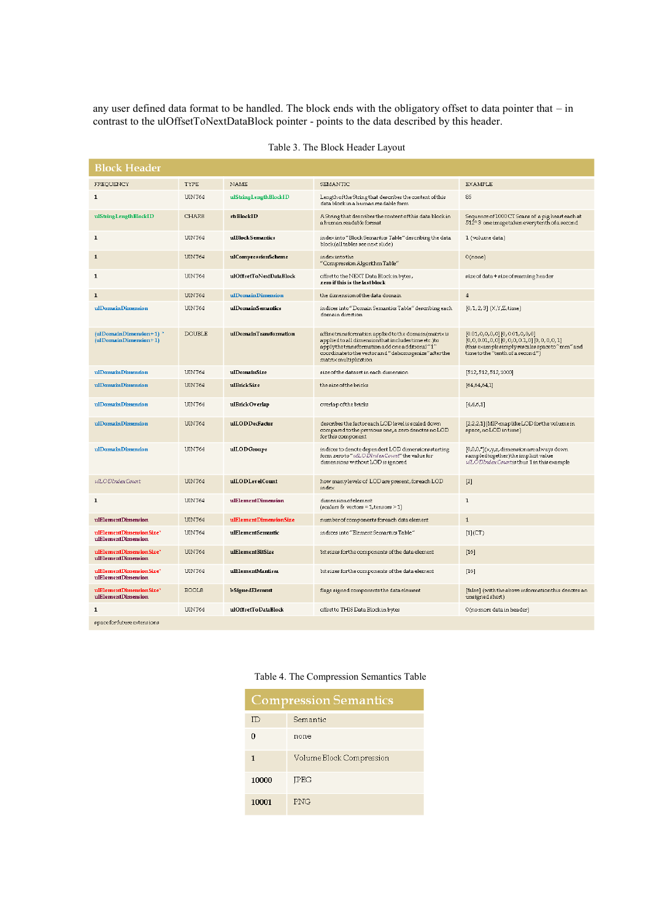any user defined data format to be handled. The block ends with the obligatory offset to data pointer that – in contrast to the ulOffsetToNextDataBlock pointer - points to the data described by this header.

| <b>Block Header</b>                             |               |                         |                                                                                                                                                                                                                                                  |                                                                                                                                                               |
|-------------------------------------------------|---------------|-------------------------|--------------------------------------------------------------------------------------------------------------------------------------------------------------------------------------------------------------------------------------------------|---------------------------------------------------------------------------------------------------------------------------------------------------------------|
| FREQUENCY                                       | TYPE          | NAME                    | SEMANTIC                                                                                                                                                                                                                                         | <b>EXAMPLE</b>                                                                                                                                                |
| 1                                               | UINT64        | ulStringLengthBlockID   | Length of the String that describes the content of this<br>data block in a human readable form                                                                                                                                                   | 85                                                                                                                                                            |
| ulStringLengthBlockID                           | CHAR8         | strBlockID              | A String that describes the content of this data block in<br>a human readable format                                                                                                                                                             | Sequence of 1000 CT Scans of a pig heart each at<br>512^3 one image taken every tenth of a second                                                             |
| 1                                               | UINT64        | ulBlockSemantics        | index into "Block Semantics Table" describing the data<br>block(alltables see next slide)                                                                                                                                                        | 1 (volume data)                                                                                                                                               |
| 1                                               | UINT64        | ulCompressionScheme     | index into the<br>"Compression Algorithm Table"                                                                                                                                                                                                  | $0$ (none)                                                                                                                                                    |
| 1                                               | UINT64        | ulOffsetToNextDataBlock | offset to the NEXT Data Block in bytes,<br>zero if this is the last block                                                                                                                                                                        | size of data + size of reaming header                                                                                                                         |
| 1                                               | UINT64        | ulDomainDimension       | the dimension of the data domain                                                                                                                                                                                                                 | $\overline{4}$                                                                                                                                                |
| ulDomainDimension                               | UINT64        | ulDomainSemantics       | indices into "Domain Semantics Table" describing each<br>domain direction                                                                                                                                                                        | [0,1,2,3] (X,Y,Z,time)                                                                                                                                        |
| (ulDomainDimension+1)*<br>(ulDomainDimension+1) | <b>DOUBLE</b> | ulDomainTransformation  | affinetransformation applied to the domain (matrix is<br>applied to all dimension that includes time etc.) to<br>applythetransformation add one additional "1"<br>coordinate to the vector and "dehomogenize" after the<br>matrix multiplication | [0.01,0,0,0,0] [0,0.01,0,0,0]<br>[0,0,0.01,0,0] [0,0,0,0.1,0] [0,0,0,0,1]<br>(this example simply rescales space to "mm" and<br>timetothe"tenth of a second") |
| ulDomainDimension                               | UINT64        | ulDomainSize            | size of the dataset in each dimension                                                                                                                                                                                                            | [512,512,512,1000]                                                                                                                                            |
| ulDomainDimension                               | UINT64        | ulBrickSize             | the size of the bricks                                                                                                                                                                                                                           | [64, 64, 64, 1]                                                                                                                                               |
| ulDomainDimension                               | UINT64        | ulBrickOverlap          | overlap of the bricks                                                                                                                                                                                                                            | [4,4,6,1]                                                                                                                                                     |
| ulDomainDimension                               | UINT64        | ulLODDecFactor          | describes the factor each LOD level is scaled down<br>compared to the previous one, a zero denotes no LOD<br>for this component                                                                                                                  | [2,2,2,1] (MIP-maplike LOD for the volume in<br>space, no LOD in time)                                                                                        |
| ulDomainDimension                               | UINT64        | ulLODGroups             | indices to denote dependent LOD dimensions starting<br>form zeroto" ulLODIndex Count" the value for<br>dimensions without LOD is ignored                                                                                                         | [0,0,0,*](x,y,z, dimension are always down<br>sampledtogether)the implicit value<br>ulLODIndex Countis thus 1 in this example                                 |
| ulLODIndexCount                                 | UINT64        | ulLODLevelCount         | how many levels of LOD are present, for each LOD<br>index                                                                                                                                                                                        | $[2]$                                                                                                                                                         |
| 1                                               | UINT64        | ulElementDimension      | dimension of element<br>(scalars & vectors = $1$ , tensors > $1$ )                                                                                                                                                                               | $\mathbf{1}$                                                                                                                                                  |
| ulElementDimension                              | UINT64        | ulElementDimensionSize  | number of components for each data element                                                                                                                                                                                                       | $\mathbf{1}$                                                                                                                                                  |
| ulElementDimensionSize"<br>ulElementDimension   | UINT64        | ulElementSemantic       | indices into "Element Semantics Table"                                                                                                                                                                                                           | $[1]$ $(CT)$                                                                                                                                                  |
| ulElementDimensionSize*<br>ulElementDimension   | UINT64        | ulElementBitSize        | bit sizes for the components of the data element                                                                                                                                                                                                 | $\lceil 16 \rceil$                                                                                                                                            |
| ulElementDimensionSize"<br>ulElementDimension   | UINT64        | ulElementMantissa       | bit sizes for the components of the data element                                                                                                                                                                                                 | $[16]$                                                                                                                                                        |
| ulElementDimensionSize*<br>ulElementDimension   | BOOL8         | <b>bSignedElement</b>   | flags signed components the data element                                                                                                                                                                                                         | [false] (with the above information this denotes an<br>unsigned short)                                                                                        |
| 1                                               | UINT64        | ulOffsetToDataBlock     | offset to THIS Data Block in bytes                                                                                                                                                                                                               | 0 (no more data in header)                                                                                                                                    |
| space for future extensions                     |               |                         |                                                                                                                                                                                                                                                  |                                                                                                                                                               |

| Table 3. The Block Header Layout |  |  |  |  |
|----------------------------------|--|--|--|--|
|----------------------------------|--|--|--|--|

### Table 4. The Compression Semantics Table

| <b>Compression Semantics</b> |                          |  |
|------------------------------|--------------------------|--|
| ID                           | Semantic                 |  |
| n                            | none                     |  |
| 1                            | Volume Block Compression |  |
| 10000                        | <b>IPEG</b>              |  |
| 10001                        | <b>PNG</b>               |  |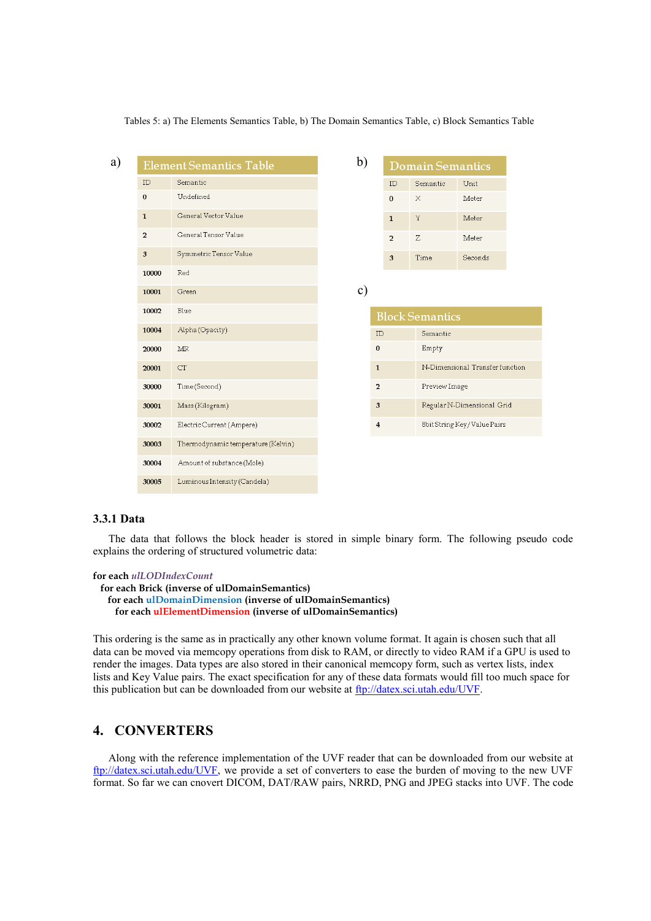a) Element Semantics Table b) **Domain Semantics**  $ID$ Semantic  $\rm ID$ Semantic Unit  $\mathbf{0}$ Undefined  $\mathbf{0}$  $\times$ Meter  $\mathbf{1}$ General Vector Value  $\mathbf Y$ Meter  $\mathbf{1}$ General Tensor Value  $\overline{2}$  $\overline{z}$  $\overline{a}$ Meter Symmetric Tensor Value 3  $\overline{3}$ Time Seconds 10000 Red c) 10001 Green 10002 Blue **Block Semantics** Alpha (Opacity) 10004  $\rm ID$ Semantic  $\pmb{0}$ Empty 20000 **MR** N-Dimensional Transfer function 20001  $CT$  $\overline{1}$ 30000 Time(Second)  $\mathbf 2$ Preview Image Mass (Kilogram)  $\sqrt{3}$ Regular N-Dimensional Grid 30001 Electric Current (Ampere)  $\bf{4}$ 8bit String Key/Value Pairs 30002 Thermodynamic temperature (Kelvin) 30003 30004 Amount of substance (Mole)

Tables 5: a) The Elements Semantics Table, b) The Domain Semantics Table, c) Block Semantics Table

#### **3.3.1 Data**

The data that follows the block header is stored in simple binary form. The following pseudo code explains the ordering of structured volumetric data:

```
for each ulLODIndexCount
```
30005

```
 for each Brick (inverse of ulDomainSemantics) 
for each ulDomainDimension (inverse of ulDomainSemantics) 
  for each ulElementDimension (inverse of ulDomainSemantics)
```
Luminous Intensity (Candela)

This ordering is the same as in practically any other known volume format. It again is chosen such that all data can be moved via memcopy operations from disk to RAM, or directly to video RAM if a GPU is used to render the images. Data types are also stored in their canonical memcopy form, such as vertex lists, index lists and Key Value pairs. The exact specification for any of these data formats would fill too much space for this publication but can be downloaded from our website at [ftp://datex.sci.utah.edu/UVF.](ftp://datex.sci.utah.edu:2121/UVF)

#### **4. CONVERTERS**

Along with the reference implementation of the UVF reader that can be downloaded from our website at [ftp://datex.sci.utah.edu/UVF,](ftp://datex.sci.utah.edu/UVF) we provide a set of converters to ease the burden of moving to the new UVF format. So far we can cnovert DICOM, DAT/RAW pairs, NRRD, PNG and JPEG stacks into UVF. The code